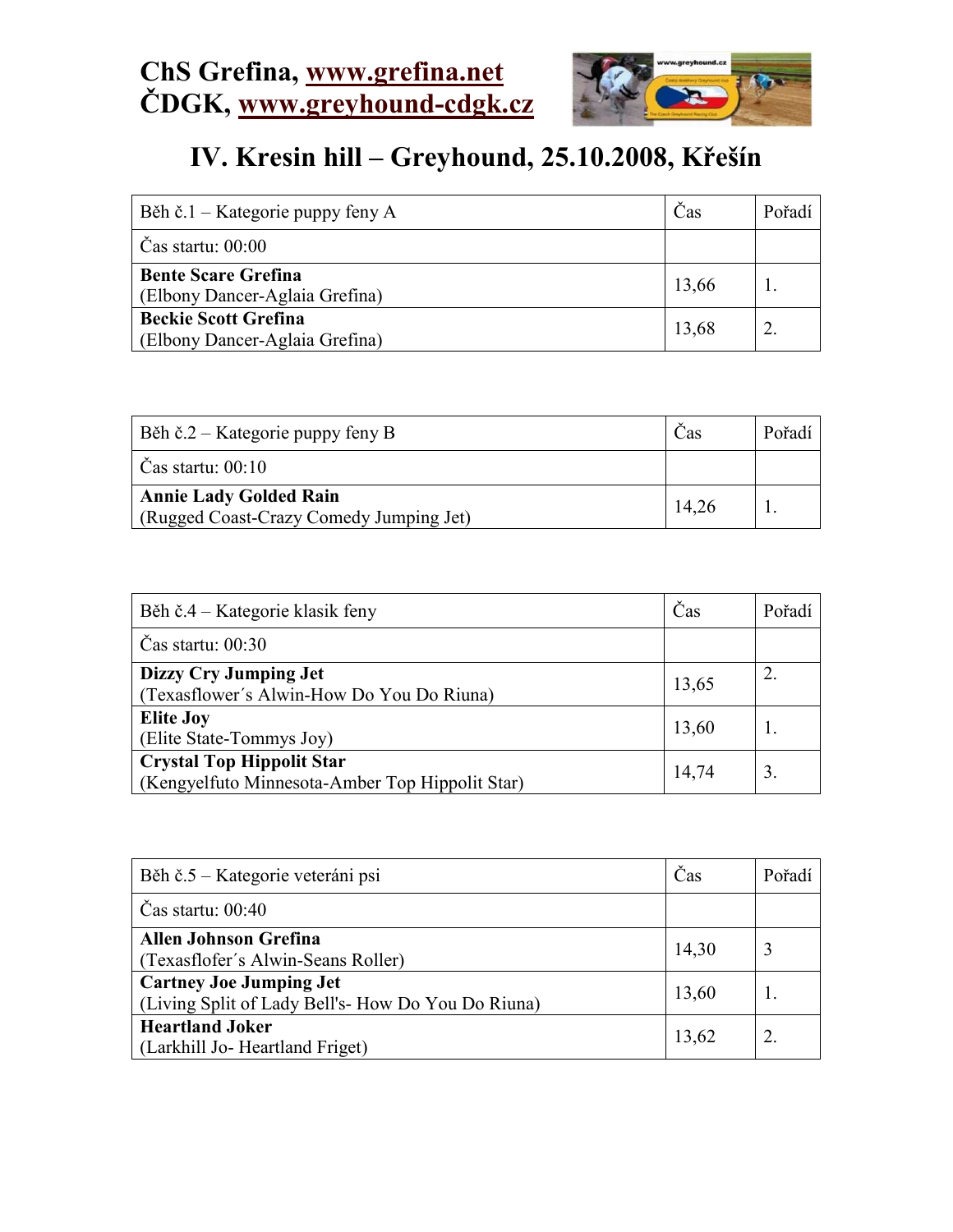

## IV. Kresin hill – Greyhound, 25.10.2008, Křešín

| Běh č.1 – Kategorie puppy feny A                              | Čas   | Pořadí |
|---------------------------------------------------------------|-------|--------|
| $\text{Cas}$ startu: $00:00$                                  |       |        |
| <b>Bente Scare Grefina</b><br>(Elbony Dancer-Aglaia Grefina)  | 13,66 |        |
| <b>Beckie Scott Grefina</b><br>(Elbony Dancer-Aglaia Grefina) | 13,68 |        |

| Běh č.2 – Kategorie puppy feny B                                         | Cas   | Pořadí |
|--------------------------------------------------------------------------|-------|--------|
| $\text{Čas}$ startu: 00:10                                               |       |        |
| <b>Annie Lady Golded Rain</b><br>(Rugged Coast-Crazy Comedy Jumping Jet) | 14,26 |        |

| Běh č.4 – Kategorie klasik feny                                                     | Čas   | Pořadí |
|-------------------------------------------------------------------------------------|-------|--------|
| Čas startu: $00:30$                                                                 |       |        |
| Dizzy Cry Jumping Jet<br>(Texasflower's Alwin-How Do You Do Riuna)                  | 13,65 |        |
| <b>Elite Joy</b><br>(Elite State-Tommys Joy)                                        | 13,60 |        |
| <b>Crystal Top Hippolit Star</b><br>(Kengyelfuto Minnesota-Amber Top Hippolit Star) | 14,74 | 3      |

| Běh č.5 – Kategorie veteráni psi                                                    | Čas   | Pořadí |
|-------------------------------------------------------------------------------------|-------|--------|
| Čas startu: $00:40$                                                                 |       |        |
| <b>Allen Johnson Grefina</b><br>(Texasflofer's Alwin-Seans Roller)                  | 14,30 |        |
| <b>Cartney Joe Jumping Jet</b><br>(Living Split of Lady Bell's-How Do You Do Riuna) | 13,60 |        |
| <b>Heartland Joker</b><br>(Larkhill Jo-Heartland Friget)                            | 13,62 |        |